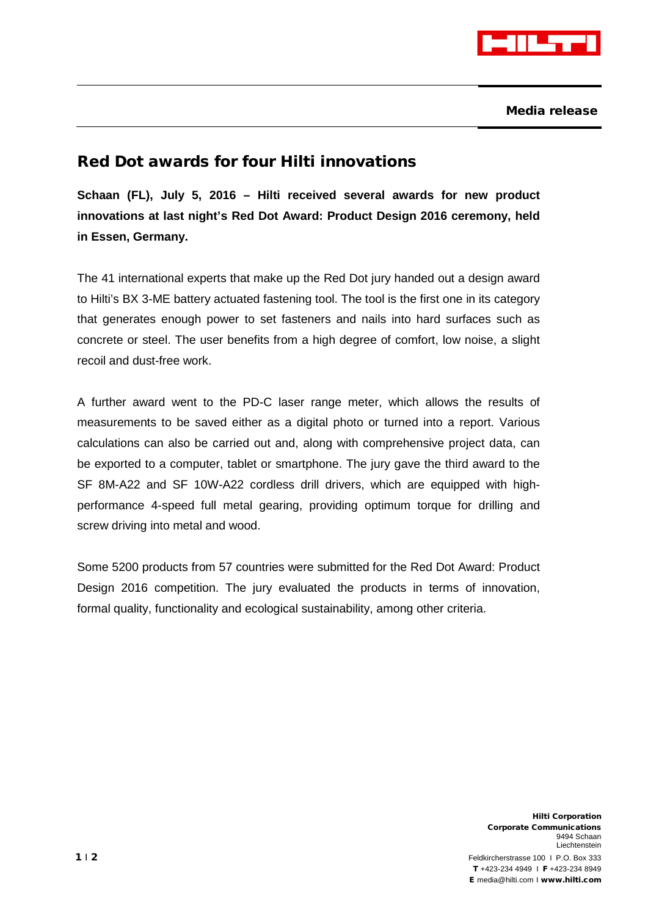

Media release

## Red Dot awards for four Hilti innovations

**Schaan (FL), July 5, 2016 – Hilti received several awards for new product innovations at last night's Red Dot Award: Product Design 2016 ceremony, held in Essen, Germany.**

The 41 international experts that make up the Red Dot jury handed out a design award to Hilti's BX 3-ME battery actuated fastening tool. The tool is the first one in its category that generates enough power to set fasteners and nails into hard surfaces such as concrete or steel. The user benefits from a high degree of comfort, low noise, a slight recoil and dust-free work.

A further award went to the PD-C laser range meter, which allows the results of measurements to be saved either as a digital photo or turned into a report. Various calculations can also be carried out and, along with comprehensive project data, can be exported to a computer, tablet or smartphone. The jury gave the third award to the SF 8M-A22 and SF 10W-A22 cordless drill drivers, which are equipped with highperformance 4-speed full metal gearing, providing optimum torque for drilling and screw driving into metal and wood.

Some 5200 products from 57 countries were submitted for the Red Dot Award: Product Design 2016 competition. The jury evaluated the products in terms of innovation, formal quality, functionality and ecological sustainability, among other criteria.

Hilti Corporation Corporate Communications 9494 Schaan Liechtenstein 1 | 2 **Feldkircherstrasse 100 | P.O. Box 333** T +423-234 4949 I F +423-234 8949 E [media@hilti.com](mailto:media@hilti.com) I www.hilti.com